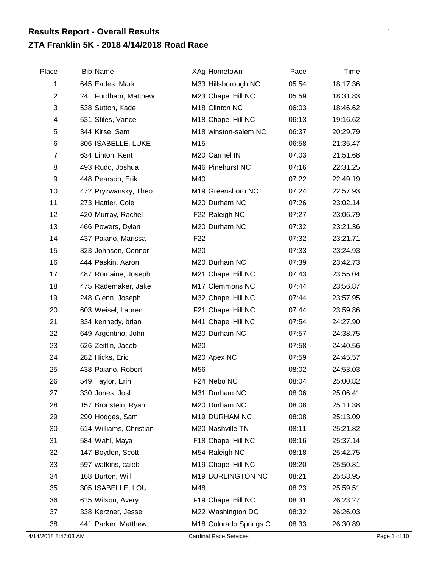## **ZTA Franklin 5K - 2018 4/14/2018 Road Race Results Report - Overall Results**

| Place          | <b>Bib Name</b>         | XAg Hometown           | Pace  | Time     |  |
|----------------|-------------------------|------------------------|-------|----------|--|
| 1              | 645 Eades, Mark         | M33 Hillsborough NC    | 05:54 | 18:17.36 |  |
| $\overline{c}$ | 241 Fordham, Matthew    | M23 Chapel Hill NC     | 05:59 | 18:31.83 |  |
| 3              | 538 Sutton, Kade        | M18 Clinton NC         | 06:03 | 18:46.62 |  |
| 4              | 531 Stiles, Vance       | M18 Chapel Hill NC     | 06:13 | 19:16.62 |  |
| 5              | 344 Kirse, Sam          | M18 winston-salem NC   | 06:37 | 20:29.79 |  |
| 6              | 306 ISABELLE, LUKE      | M15                    | 06:58 | 21:35.47 |  |
| $\overline{7}$ | 634 Linton, Kent        | M20 Carmel IN          | 07:03 | 21:51.68 |  |
| 8              | 493 Rudd, Joshua        | M46 Pinehurst NC       | 07:16 | 22:31.25 |  |
| 9              | 448 Pearson, Erik       | M40                    | 07:22 | 22:49.19 |  |
| 10             | 472 Pryzwansky, Theo    | M19 Greensboro NC      | 07:24 | 22:57.93 |  |
| 11             | 273 Hattler, Cole       | M20 Durham NC          | 07:26 | 23:02.14 |  |
| 12             | 420 Murray, Rachel      | F22 Raleigh NC         | 07:27 | 23:06.79 |  |
| 13             | 466 Powers, Dylan       | M20 Durham NC          | 07:32 | 23:21.36 |  |
| 14             | 437 Paiano, Marissa     | F <sub>22</sub>        | 07:32 | 23:21.71 |  |
| 15             | 323 Johnson, Connor     | M20                    | 07:33 | 23:24.93 |  |
| 16             | 444 Paskin, Aaron       | M20 Durham NC          | 07:39 | 23:42.73 |  |
| 17             | 487 Romaine, Joseph     | M21 Chapel Hill NC     | 07:43 | 23:55.04 |  |
| 18             | 475 Rademaker, Jake     | M17 Clemmons NC        | 07:44 | 23:56.87 |  |
| 19             | 248 Glenn, Joseph       | M32 Chapel Hill NC     | 07:44 | 23:57.95 |  |
| 20             | 603 Weisel, Lauren      | F21 Chapel Hill NC     | 07:44 | 23:59.86 |  |
| 21             | 334 kennedy, brian      | M41 Chapel Hill NC     | 07:54 | 24:27.90 |  |
| 22             | 649 Argentino, John     | M20 Durham NC          | 07:57 | 24:38.75 |  |
| 23             | 626 Zeitlin, Jacob      | M20                    | 07:58 | 24:40.56 |  |
| 24             | 282 Hicks, Eric         | M20 Apex NC            | 07:59 | 24:45.57 |  |
| 25             | 438 Paiano, Robert      | M56                    | 08:02 | 24:53.03 |  |
| 26             | 549 Taylor, Erin        | F24 Nebo NC            | 08:04 | 25:00.82 |  |
| 27             | 330 Jones, Josh         | M31 Durham NC          | 08:06 | 25:06.41 |  |
| 28             | 157 Bronstein, Ryan     | M20 Durham NC          | 08:08 | 25:11.38 |  |
| 29             | 290 Hodges, Sam         | M19 DURHAM NC          | 08:08 | 25:13.09 |  |
| 30             | 614 Williams, Christian | M20 Nashville TN       | 08:11 | 25:21.82 |  |
| 31             | 584 Wahl, Maya          | F18 Chapel Hill NC     | 08:16 | 25:37.14 |  |
| 32             | 147 Boyden, Scott       | M54 Raleigh NC         | 08:18 | 25:42.75 |  |
| 33             | 597 watkins, caleb      | M19 Chapel Hill NC     | 08:20 | 25:50.81 |  |
| 34             | 168 Burton, Will        | M19 BURLINGTON NC      | 08:21 | 25:53.95 |  |
| 35             | 305 ISABELLE, LOU       | M48                    | 08:23 | 25:59.51 |  |
| 36             | 615 Wilson, Avery       | F19 Chapel Hill NC     | 08:31 | 26:23.27 |  |
| 37             | 338 Kerzner, Jesse      | M22 Washington DC      | 08:32 | 26:26.03 |  |
| 38             | 441 Parker, Matthew     | M18 Colorado Springs C | 08:33 | 26:30.89 |  |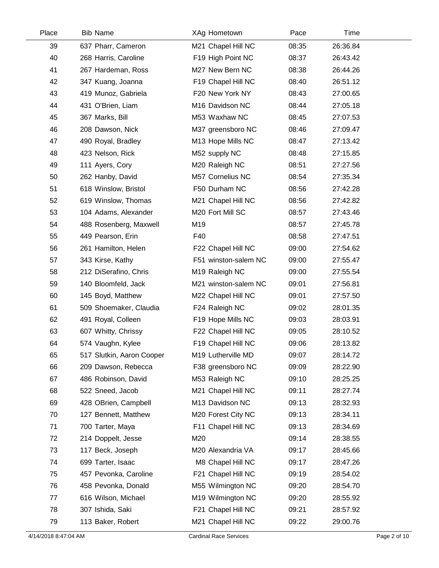| Place | <b>Bib Name</b>           | XAg Hometown         | Pace  | Time     |  |
|-------|---------------------------|----------------------|-------|----------|--|
| 39    | 637 Pharr, Cameron        | M21 Chapel Hill NC   | 08:35 | 26:36.84 |  |
| 40    | 268 Harris, Caroline      | F19 High Point NC    | 08:37 | 26:43.42 |  |
| 41    | 267 Hardeman, Ross        | M27 New Bern NC      | 08:38 | 26:44.26 |  |
| 42    | 347 Kuang, Joanna         | F19 Chapel Hill NC   | 08:40 | 26:51.12 |  |
| 43    | 419 Munoz, Gabriela       | F20 New York NY      | 08:43 | 27:00.65 |  |
| 44    | 431 O'Brien, Liam         | M16 Davidson NC      | 08:44 | 27:05.18 |  |
| 45    | 367 Marks, Bill           | M53 Waxhaw NC        | 08:45 | 27:07.53 |  |
| 46    | 208 Dawson, Nick          | M37 greensboro NC    | 08:46 | 27:09.47 |  |
| 47    | 490 Royal, Bradley        | M13 Hope Mills NC    | 08:47 | 27:13.42 |  |
| 48    | 423 Nelson, Rick          | M52 supply NC        | 08:48 | 27:15.85 |  |
| 49    | 111 Ayers, Cory           | M20 Raleigh NC       | 08:51 | 27:27.56 |  |
| 50    | 262 Hanby, David          | M57 Cornelius NC     | 08:54 | 27:35.34 |  |
| 51    | 618 Winslow, Bristol      | F50 Durham NC        | 08:56 | 27:42.28 |  |
| 52    | 619 Winslow, Thomas       | M21 Chapel Hill NC   | 08:56 | 27:42.82 |  |
| 53    | 104 Adams, Alexander      | M20 Fort Mill SC     | 08:57 | 27:43.46 |  |
| 54    | 488 Rosenberg, Maxwell    | M19                  | 08:57 | 27:45.78 |  |
| 55    | 449 Pearson, Erin         | F40                  | 08:58 | 27:47.51 |  |
| 56    | 261 Hamilton, Helen       | F22 Chapel Hill NC   | 09:00 | 27:54.62 |  |
| 57    | 343 Kirse, Kathy          | F51 winston-salem NC | 09:00 | 27:55.47 |  |
| 58    | 212 DiSerafino, Chris     | M19 Raleigh NC       | 09:00 | 27:55.54 |  |
| 59    | 140 Bloomfeld, Jack       | M21 winston-salem NC | 09:01 | 27:56.81 |  |
| 60    | 145 Boyd, Matthew         | M22 Chapel Hill NC   | 09:01 | 27:57.50 |  |
| 61    | 509 Shoemaker, Claudia    | F24 Raleigh NC       | 09:02 | 28:01.35 |  |
| 62    | 491 Royal, Colleen        | F19 Hope Mills NC    | 09:03 | 28:03.91 |  |
| 63    | 607 Whitty, Chrissy       | F22 Chapel Hill NC   | 09:05 | 28:10.52 |  |
| 64    | 574 Vaughn, Kylee         | F19 Chapel Hill NC   | 09:06 | 28:13.82 |  |
| 65    | 517 Slutkin, Aaron Cooper | M19 Lutherville MD   | 09:07 | 28:14.72 |  |
| 66    | 209 Dawson, Rebecca       | F38 greensboro NC    | 09:09 | 28:22.90 |  |
| 67    | 486 Robinson, David       | M53 Raleigh NC       | 09:10 | 28:25.25 |  |
| 68    | 522 Sneed, Jacob          | M21 Chapel Hill NC   | 09:11 | 28:27.74 |  |
| 69    | 428 OBrien, Campbell      | M13 Davidson NC      | 09:13 | 28:32.93 |  |
| 70    | 127 Bennett, Matthew      | M20 Forest City NC   | 09:13 | 28:34.11 |  |
| 71    | 700 Tarter, Maya          | F11 Chapel Hill NC   | 09:13 | 28:34.69 |  |
| 72    | 214 Doppelt, Jesse        | M20                  | 09:14 | 28:38.55 |  |
| 73    | 117 Beck, Joseph          | M20 Alexandria VA    | 09:17 | 28:45.66 |  |
| 74    | 699 Tarter, Isaac         | M8 Chapel Hill NC    | 09:17 | 28:47.26 |  |
| 75    | 457 Pevonka, Caroline     | F21 Chapel Hill NC   | 09:19 | 28:54.02 |  |
| 76    | 458 Pevonka, Donald       | M55 Wilmington NC    | 09:20 | 28:54.70 |  |
| 77    | 616 Wilson, Michael       | M19 Wilmington NC    | 09:20 | 28:55.92 |  |
| 78    | 307 Ishida, Saki          | F21 Chapel Hill NC   | 09:21 | 28:57.92 |  |
| 79    | 113 Baker, Robert         | M21 Chapel Hill NC   | 09:22 | 29:00.76 |  |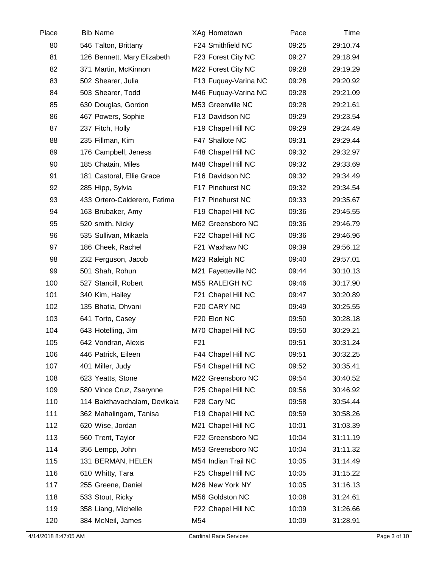| Place | <b>Bib Name</b>              | XAg Hometown         | Pace  | Time     |  |
|-------|------------------------------|----------------------|-------|----------|--|
| 80    | 546 Talton, Brittany         | F24 Smithfield NC    | 09:25 | 29:10.74 |  |
| 81    | 126 Bennett, Mary Elizabeth  | F23 Forest City NC   | 09:27 | 29:18.94 |  |
| 82    | 371 Martin, McKinnon         | M22 Forest City NC   | 09:28 | 29:19.29 |  |
| 83    | 502 Shearer, Julia           | F13 Fuquay-Varina NC | 09:28 | 29:20.92 |  |
| 84    | 503 Shearer, Todd            | M46 Fuquay-Varina NC | 09:28 | 29:21.09 |  |
| 85    | 630 Douglas, Gordon          | M53 Greenville NC    | 09:28 | 29:21.61 |  |
| 86    | 467 Powers, Sophie           | F13 Davidson NC      | 09:29 | 29:23.54 |  |
| 87    | 237 Fitch, Holly             | F19 Chapel Hill NC   | 09:29 | 29:24.49 |  |
| 88    | 235 Fillman, Kim             | F47 Shallote NC      | 09:31 | 29:29.44 |  |
| 89    | 176 Campbell, Jeness         | F48 Chapel Hill NC   | 09:32 | 29:32.97 |  |
| 90    | 185 Chatain, Miles           | M48 Chapel Hill NC   | 09:32 | 29:33.69 |  |
| 91    | 181 Castoral, Ellie Grace    | F16 Davidson NC      | 09:32 | 29:34.49 |  |
| 92    | 285 Hipp, Sylvia             | F17 Pinehurst NC     | 09:32 | 29:34.54 |  |
| 93    | 433 Ortero-Calderero, Fatima | F17 Pinehurst NC     | 09:33 | 29:35.67 |  |
| 94    | 163 Brubaker, Amy            | F19 Chapel Hill NC   | 09:36 | 29:45.55 |  |
| 95    | 520 smith, Nicky             | M62 Greensboro NC    | 09:36 | 29:46.79 |  |
| 96    | 535 Sullivan, Mikaela        | F22 Chapel Hill NC   | 09:36 | 29:46.96 |  |
| 97    | 186 Cheek, Rachel            | F21 Waxhaw NC        | 09:39 | 29:56.12 |  |
| 98    | 232 Ferguson, Jacob          | M23 Raleigh NC       | 09:40 | 29:57.01 |  |
| 99    | 501 Shah, Rohun              | M21 Fayetteville NC  | 09:44 | 30:10.13 |  |
| 100   | 527 Stancill, Robert         | M55 RALEIGH NC       | 09:46 | 30:17.90 |  |
| 101   | 340 Kim, Hailey              | F21 Chapel Hill NC   | 09:47 | 30:20.89 |  |
| 102   | 135 Bhatia, Dhvani           | F20 CARY NC          | 09:49 | 30:25.55 |  |
| 103   | 641 Torto, Casey             | F20 Elon NC          | 09:50 | 30:28.18 |  |
| 104   | 643 Hotelling, Jim           | M70 Chapel Hill NC   | 09:50 | 30:29.21 |  |
| 105   | 642 Vondran, Alexis          | F <sub>21</sub>      | 09:51 | 30:31.24 |  |
| 106   | 446 Patrick, Eileen          | F44 Chapel Hill NC   | 09:51 | 30:32.25 |  |
| 107   | 401 Miller, Judy             | F54 Chapel Hill NC   | 09:52 | 30:35.41 |  |
| 108   | 623 Yeatts, Stone            | M22 Greensboro NC    | 09:54 | 30:40.52 |  |
| 109   | 580 Vince Cruz, Zsarynne     | F25 Chapel Hill NC   | 09:56 | 30:46.92 |  |
| 110   | 114 Bakthavachalam, Devikala | F28 Cary NC          | 09:58 | 30:54.44 |  |
| 111   | 362 Mahalingam, Tanisa       | F19 Chapel Hill NC   | 09:59 | 30:58.26 |  |
| 112   | 620 Wise, Jordan             | M21 Chapel Hill NC   | 10:01 | 31:03.39 |  |
| 113   | 560 Trent, Taylor            | F22 Greensboro NC    | 10:04 | 31:11.19 |  |
| 114   | 356 Lempp, John              | M53 Greensboro NC    | 10:04 | 31:11.32 |  |
| 115   | 131 BERMAN, HELEN            | M54 Indian Trail NC  | 10:05 | 31:14.49 |  |
| 116   | 610 Whitty, Tara             | F25 Chapel Hill NC   | 10:05 | 31:15.22 |  |
| 117   | 255 Greene, Daniel           | M26 New York NY      | 10:05 | 31:16.13 |  |
| 118   | 533 Stout, Ricky             | M56 Goldston NC      | 10:08 | 31:24.61 |  |
| 119   | 358 Liang, Michelle          | F22 Chapel Hill NC   | 10:09 | 31:26.66 |  |
| 120   | 384 McNeil, James            | M54                  | 10:09 | 31:28.91 |  |
|       |                              |                      |       |          |  |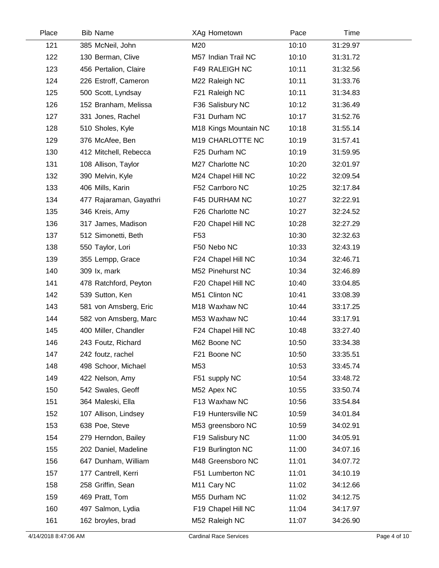| Place | <b>Bib Name</b>         | XAg Hometown            | Pace  | Time     |  |
|-------|-------------------------|-------------------------|-------|----------|--|
| 121   | 385 McNeil, John        | M20                     | 10:10 | 31:29.97 |  |
| 122   | 130 Berman, Clive       | M57 Indian Trail NC     | 10:10 | 31:31.72 |  |
| 123   | 456 Pertalion, Claire   | F49 RALEIGH NC          | 10:11 | 31:32.56 |  |
| 124   | 226 Estroff, Cameron    | M22 Raleigh NC          | 10:11 | 31:33.76 |  |
| 125   | 500 Scott, Lyndsay      | F21 Raleigh NC          | 10:11 | 31:34.83 |  |
| 126   | 152 Branham, Melissa    | F36 Salisbury NC        | 10:12 | 31:36.49 |  |
| 127   | 331 Jones, Rachel       | F31 Durham NC           | 10:17 | 31:52.76 |  |
| 128   | 510 Sholes, Kyle        | M18 Kings Mountain NC   | 10:18 | 31:55.14 |  |
| 129   | 376 McAfee, Ben         | M19 CHARLOTTE NC        | 10:19 | 31:57.41 |  |
| 130   | 412 Mitchell, Rebecca   | F25 Durham NC           | 10:19 | 31:59.95 |  |
| 131   | 108 Allison, Taylor     | M27 Charlotte NC        | 10:20 | 32:01.97 |  |
| 132   | 390 Melvin, Kyle        | M24 Chapel Hill NC      | 10:22 | 32:09.54 |  |
| 133   | 406 Mills, Karin        | F52 Carrboro NC         | 10:25 | 32:17.84 |  |
| 134   | 477 Rajaraman, Gayathri | F45 DURHAM NC           | 10:27 | 32:22.91 |  |
| 135   | 346 Kreis, Amy          | F26 Charlotte NC        | 10:27 | 32:24.52 |  |
| 136   | 317 James, Madison      | F20 Chapel Hill NC      | 10:28 | 32:27.29 |  |
| 137   | 512 Simonetti, Beth     | F <sub>53</sub>         | 10:30 | 32:32.63 |  |
| 138   | 550 Taylor, Lori        | F50 Nebo NC             | 10:33 | 32:43.19 |  |
| 139   | 355 Lempp, Grace        | F24 Chapel Hill NC      | 10:34 | 32:46.71 |  |
| 140   | 309 lx, mark            | M52 Pinehurst NC        | 10:34 | 32:46.89 |  |
| 141   | 478 Ratchford, Peyton   | F20 Chapel Hill NC      | 10:40 | 33:04.85 |  |
| 142   | 539 Sutton, Ken         | M51 Clinton NC          | 10:41 | 33:08.39 |  |
| 143   | 581 von Amsberg, Eric   | M18 Waxhaw NC           | 10:44 | 33:17.25 |  |
| 144   | 582 von Amsberg, Marc   | M53 Waxhaw NC           | 10:44 | 33:17.91 |  |
| 145   | 400 Miller, Chandler    | F24 Chapel Hill NC      | 10:48 | 33:27.40 |  |
| 146   | 243 Foutz, Richard      | M62 Boone NC            | 10:50 | 33:34.38 |  |
| 147   | 242 foutz, rachel       | F21 Boone NC            | 10:50 | 33:35.51 |  |
| 148   | 498 Schoor, Michael     | M53                     | 10:53 | 33:45.74 |  |
| 149   | 422 Nelson, Amy         | F51 supply NC           | 10:54 | 33:48.72 |  |
| 150   | 542 Swales, Geoff       | M52 Apex NC             | 10:55 | 33:50.74 |  |
| 151   | 364 Maleski, Ella       | F13 Waxhaw NC           | 10:56 | 33:54.84 |  |
| 152   | 107 Allison, Lindsey    | F19 Huntersville NC     | 10:59 | 34:01.84 |  |
| 153   | 638 Poe, Steve          | M53 greensboro NC       | 10:59 | 34:02.91 |  |
| 154   | 279 Herndon, Bailey     | F19 Salisbury NC        | 11:00 | 34:05.91 |  |
| 155   | 202 Daniel, Madeline    | F19 Burlington NC       | 11:00 | 34:07.16 |  |
| 156   | 647 Dunham, William     | M48 Greensboro NC       | 11:01 | 34:07.72 |  |
| 157   | 177 Cantrell, Kerri     | F51 Lumberton NC        | 11:01 | 34:10.19 |  |
| 158   | 258 Griffin, Sean       | M <sub>11</sub> Cary NC | 11:02 | 34:12.66 |  |
| 159   | 469 Pratt, Tom          | M55 Durham NC           | 11:02 | 34:12.75 |  |
| 160   | 497 Salmon, Lydia       | F19 Chapel Hill NC      | 11:04 | 34:17.97 |  |
| 161   | 162 broyles, brad       | M52 Raleigh NC          | 11:07 | 34:26.90 |  |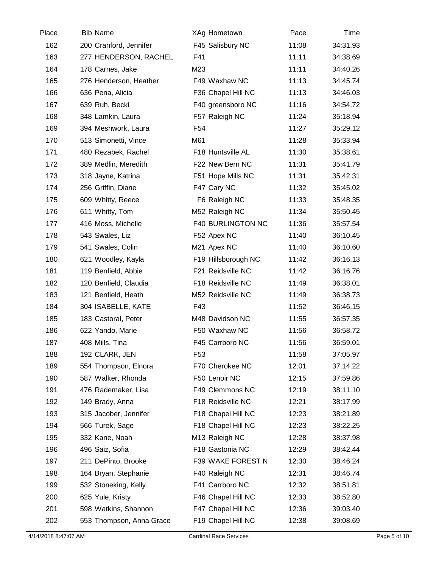| Place | <b>Bib Name</b>          | XAg Hometown        | Pace  | Time     |  |
|-------|--------------------------|---------------------|-------|----------|--|
| 162   | 200 Cranford, Jennifer   | F45 Salisbury NC    | 11:08 | 34:31.93 |  |
| 163   | 277 HENDERSON, RACHEL    | F41                 | 11:11 | 34:38.69 |  |
| 164   | 178 Carnes, Jake         | M23                 | 11:11 | 34:40.26 |  |
| 165   | 276 Henderson, Heather   | F49 Waxhaw NC       | 11:13 | 34:45.74 |  |
| 166   | 636 Pena, Alicia         | F36 Chapel Hill NC  | 11:13 | 34:46.03 |  |
| 167   | 639 Ruh, Becki           | F40 greensboro NC   | 11:16 | 34:54.72 |  |
| 168   | 348 Lamkin, Laura        | F57 Raleigh NC      | 11:24 | 35:18.94 |  |
| 169   | 394 Meshwork, Laura      | F <sub>54</sub>     | 11:27 | 35:29.12 |  |
| 170   | 513 Simonetti, Vince     | M61                 | 11:28 | 35:33.94 |  |
| 171   | 480 Rezabek, Rachel      | F18 Huntsville AL   | 11:30 | 35:38.61 |  |
| 172   | 389 Medlin, Meredith     | F22 New Bern NC     | 11:31 | 35:41.79 |  |
| 173   | 318 Jayne, Katrina       | F51 Hope Mills NC   | 11:31 | 35:42.31 |  |
| 174   | 256 Griffin, Diane       | F47 Cary NC         | 11:32 | 35:45.02 |  |
| 175   | 609 Whitty, Reece        | F6 Raleigh NC       | 11:33 | 35:48.35 |  |
| 176   | 611 Whitty, Tom          | M52 Raleigh NC      | 11:34 | 35:50.45 |  |
| 177   | 416 Moss, Michelle       | F40 BURLINGTON NC   | 11:36 | 35:57.54 |  |
| 178   | 543 Swales, Liz          | F52 Apex NC         | 11:40 | 36:10.45 |  |
| 179   | 541 Swales, Colin        | M21 Apex NC         | 11:40 | 36:10.60 |  |
| 180   | 621 Woodley, Kayla       | F19 Hillsborough NC | 11:42 | 36:16.13 |  |
| 181   | 119 Benfield, Abbie      | F21 Reidsville NC   | 11:42 | 36:16.76 |  |
| 182   | 120 Benfield, Claudia    | F18 Reidsville NC   | 11:49 | 36:38.01 |  |
| 183   | 121 Benfield, Heath      | M52 Reidsville NC   | 11:49 | 36:38.73 |  |
| 184   | 304 ISABELLE, KATE       | F43                 | 11:52 | 36:46.15 |  |
| 185   | 183 Castoral, Peter      | M48 Davidson NC     | 11:55 | 36:57.35 |  |
| 186   | 622 Yando, Marie         | F50 Waxhaw NC       | 11:56 | 36:58.72 |  |
| 187   | 408 Mills, Tina          | F45 Carrboro NC     | 11:56 | 36:59.01 |  |
| 188   | 192 CLARK, JEN           | F <sub>53</sub>     | 11:58 | 37:05.97 |  |
| 189   | 554 Thompson, Elnora     | F70 Cherokee NC     | 12:01 | 37:14.22 |  |
| 190   | 587 Walker, Rhonda       | F50 Lenoir NC       | 12:15 | 37:59.86 |  |
| 191   | 476 Rademaker, Lisa      | F49 Clemmons NC     | 12:19 | 38:11.10 |  |
| 192   | 149 Brady, Anna          | F18 Reidsville NC   | 12:21 | 38:17.99 |  |
| 193   | 315 Jacober, Jennifer    | F18 Chapel Hill NC  | 12:23 | 38:21.89 |  |
| 194   | 566 Turek, Sage          | F18 Chapel Hill NC  | 12:23 | 38:22.25 |  |
| 195   | 332 Kane, Noah           | M13 Raleigh NC      | 12:28 | 38:37.98 |  |
| 196   | 496 Saiz, Sofia          | F18 Gastonia NC     | 12:29 | 38:42.44 |  |
| 197   | 211 DePinto, Brooke      | F39 WAKE FOREST N   | 12:30 | 38:46.24 |  |
| 198   | 164 Bryan, Stephanie     | F40 Raleigh NC      | 12:31 | 38:46.74 |  |
| 199   | 532 Stoneking, Kelly     | F41 Carrboro NC     | 12:32 | 38:51.81 |  |
| 200   | 625 Yule, Kristy         | F46 Chapel Hill NC  | 12:33 | 38:52.80 |  |
| 201   | 598 Watkins, Shannon     | F47 Chapel Hill NC  | 12:36 | 39:03.40 |  |
| 202   | 553 Thompson, Anna Grace | F19 Chapel Hill NC  | 12:38 | 39:08.69 |  |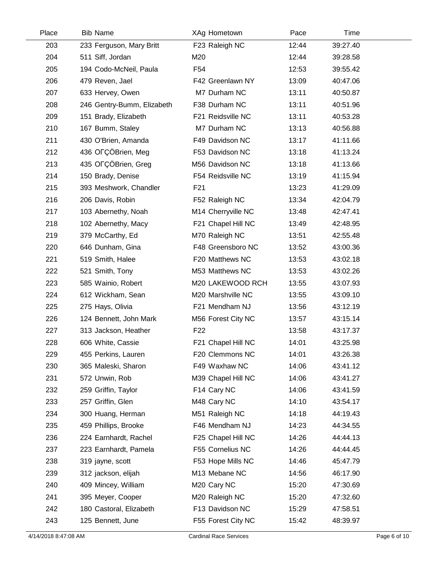| Place | <b>Bib Name</b>            | XAg Hometown            | Pace  | Time     |  |
|-------|----------------------------|-------------------------|-------|----------|--|
| 203   | 233 Ferguson, Mary Britt   | F23 Raleigh NC          | 12:44 | 39:27.40 |  |
| 204   | 511 Siff, Jordan           | M20                     | 12:44 | 39:28.58 |  |
| 205   | 194 Codo-McNeil, Paula     | F54                     | 12:53 | 39:55.42 |  |
| 206   | 479 Reven, Jael            | F42 Greenlawn NY        | 13:09 | 40:47.06 |  |
| 207   | 633 Hervey, Owen           | M7 Durham NC            | 13:11 | 40:50.87 |  |
| 208   | 246 Gentry-Bumm, Elizabeth | F38 Durham NC           | 13:11 | 40:51.96 |  |
| 209   | 151 Brady, Elizabeth       | F21 Reidsville NC       | 13:11 | 40:53.28 |  |
| 210   | 167 Bumm, Staley           | M7 Durham NC            | 13:13 | 40:56.88 |  |
| 211   | 430 O'Brien, Amanda        | F49 Davidson NC         | 13:17 | 41:11.66 |  |
| 212   | 436 OFÇÖBrien, Meg         | F53 Davidson NC         | 13:18 | 41:13.24 |  |
| 213   | 435 OFÇÖBrien, Greg        | M56 Davidson NC         | 13:18 | 41:13.66 |  |
| 214   | 150 Brady, Denise          | F54 Reidsville NC       | 13:19 | 41:15.94 |  |
| 215   | 393 Meshwork, Chandler     | F <sub>21</sub>         | 13:23 | 41:29.09 |  |
| 216   | 206 Davis, Robin           | F52 Raleigh NC          | 13:34 | 42:04.79 |  |
| 217   | 103 Abernethy, Noah        | M14 Cherryville NC      | 13:48 | 42:47.41 |  |
| 218   | 102 Abernethy, Macy        | F21 Chapel Hill NC      | 13:49 | 42:48.95 |  |
| 219   | 379 McCarthy, Ed           | M70 Raleigh NC          | 13:51 | 42:55.48 |  |
| 220   | 646 Dunham, Gina           | F48 Greensboro NC       | 13:52 | 43:00.36 |  |
| 221   | 519 Smith, Halee           | F20 Matthews NC         | 13:53 | 43:02.18 |  |
| 222   | 521 Smith, Tony            | M53 Matthews NC         | 13:53 | 43:02.26 |  |
| 223   | 585 Wainio, Robert         | M20 LAKEWOOD RCH        | 13:55 | 43:07.93 |  |
| 224   | 612 Wickham, Sean          | M20 Marshville NC       | 13:55 | 43:09.10 |  |
| 225   | 275 Hays, Olivia           | F21 Mendham NJ          | 13:56 | 43:12.19 |  |
| 226   | 124 Bennett, John Mark     | M56 Forest City NC      | 13:57 | 43:15.14 |  |
| 227   | 313 Jackson, Heather       | F <sub>22</sub>         | 13:58 | 43:17.37 |  |
| 228   | 606 White, Cassie          | F21 Chapel Hill NC      | 14:01 | 43:25.98 |  |
| 229   | 455 Perkins, Lauren        | F20 Clemmons NC         | 14:01 | 43:26.38 |  |
| 230   | 365 Maleski, Sharon        | F49 Waxhaw NC           | 14:06 | 43:41.12 |  |
| 231   | 572 Unwin, Rob             | M39 Chapel Hill NC      | 14:06 | 43:41.27 |  |
| 232   | 259 Griffin, Taylor        | F <sub>14</sub> Cary NC | 14:06 | 43:41.59 |  |
| 233   | 257 Griffin, Glen          | M48 Cary NC             | 14:10 | 43:54.17 |  |
| 234   | 300 Huang, Herman          | M51 Raleigh NC          | 14:18 | 44:19.43 |  |
| 235   | 459 Phillips, Brooke       | F46 Mendham NJ          | 14:23 | 44:34.55 |  |
| 236   | 224 Earnhardt, Rachel      | F25 Chapel Hill NC      | 14:26 | 44:44.13 |  |
| 237   | 223 Earnhardt, Pamela      | F55 Cornelius NC        | 14:26 | 44:44.45 |  |
| 238   | 319 jayne, scott           | F53 Hope Mills NC       | 14:46 | 45:47.79 |  |
| 239   | 312 jackson, elijah        | M13 Mebane NC           | 14:56 | 46:17.90 |  |
| 240   | 409 Mincey, William        | M <sub>20</sub> Cary NC | 15:20 | 47:30.69 |  |
| 241   | 395 Meyer, Cooper          | M20 Raleigh NC          | 15:20 | 47:32.60 |  |
| 242   | 180 Castoral, Elizabeth    | F13 Davidson NC         | 15:29 | 47:58.51 |  |
| 243   | 125 Bennett, June          | F55 Forest City NC      | 15:42 | 48:39.97 |  |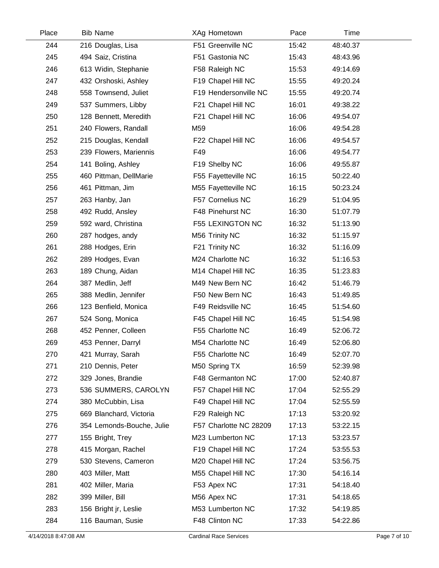| Place | <b>Bib Name</b>           | XAg Hometown            | Pace  | Time     |  |
|-------|---------------------------|-------------------------|-------|----------|--|
| 244   | 216 Douglas, Lisa         | F51 Greenville NC       | 15:42 | 48:40.37 |  |
| 245   | 494 Saiz, Cristina        | F51 Gastonia NC         | 15:43 | 48:43.96 |  |
| 246   | 613 Widin, Stephanie      | F58 Raleigh NC          | 15:53 | 49:14.69 |  |
| 247   | 432 Orshoski, Ashley      | F19 Chapel Hill NC      | 15:55 | 49:20.24 |  |
| 248   | 558 Townsend, Juliet      | F19 Hendersonville NC   | 15:55 | 49:20.74 |  |
| 249   | 537 Summers, Libby        | F21 Chapel Hill NC      | 16:01 | 49:38.22 |  |
| 250   | 128 Bennett, Meredith     | F21 Chapel Hill NC      | 16:06 | 49:54.07 |  |
| 251   | 240 Flowers, Randall      | M59                     | 16:06 | 49:54.28 |  |
| 252   | 215 Douglas, Kendall      | F22 Chapel Hill NC      | 16:06 | 49:54.57 |  |
| 253   | 239 Flowers, Mariennis    | F49                     | 16:06 | 49:54.77 |  |
| 254   | 141 Boling, Ashley        | F19 Shelby NC           | 16:06 | 49:55.87 |  |
| 255   | 460 Pittman, DellMarie    | F55 Fayetteville NC     | 16:15 | 50:22.40 |  |
| 256   | 461 Pittman, Jim          | M55 Fayetteville NC     | 16:15 | 50:23.24 |  |
| 257   | 263 Hanby, Jan            | F57 Cornelius NC        | 16:29 | 51:04.95 |  |
| 258   | 492 Rudd, Ansley          | F48 Pinehurst NC        | 16:30 | 51:07.79 |  |
| 259   | 592 ward, Christina       | <b>F55 LEXINGTON NC</b> | 16:32 | 51:13.90 |  |
| 260   | 287 hodges, andy          | M56 Trinity NC          | 16:32 | 51:15.97 |  |
| 261   | 288 Hodges, Erin          | F21 Trinity NC          | 16:32 | 51:16.09 |  |
| 262   | 289 Hodges, Evan          | M24 Charlotte NC        | 16:32 | 51:16.53 |  |
| 263   | 189 Chung, Aidan          | M14 Chapel Hill NC      | 16:35 | 51:23.83 |  |
| 264   | 387 Medlin, Jeff          | M49 New Bern NC         | 16:42 | 51:46.79 |  |
| 265   | 388 Medlin, Jennifer      | F50 New Bern NC         | 16:43 | 51:49.85 |  |
| 266   | 123 Benfield, Monica      | F49 Reidsville NC       | 16:45 | 51:54.60 |  |
| 267   | 524 Song, Monica          | F45 Chapel Hill NC      | 16:45 | 51:54.98 |  |
| 268   | 452 Penner, Colleen       | F55 Charlotte NC        | 16:49 | 52:06.72 |  |
| 269   | 453 Penner, Darryl        | M54 Charlotte NC        | 16:49 | 52:06.80 |  |
| 270   | 421 Murray, Sarah         | F55 Charlotte NC        | 16:49 | 52:07.70 |  |
| 271   | 210 Dennis, Peter         | M50 Spring TX           | 16:59 | 52:39.98 |  |
| 272   | 329 Jones, Brandie        | F48 Germanton NC        | 17:00 | 52:40.87 |  |
| 273   | 536 SUMMERS, CAROLYN      | F57 Chapel Hill NC      | 17:04 | 52:55.29 |  |
| 274   | 380 McCubbin, Lisa        | F49 Chapel Hill NC      | 17:04 | 52:55.59 |  |
| 275   | 669 Blanchard, Victoria   | F29 Raleigh NC          | 17:13 | 53:20.92 |  |
| 276   | 354 Lemonds-Bouche, Julie | F57 Charlotte NC 28209  | 17:13 | 53:22.15 |  |
| 277   | 155 Bright, Trey          | M23 Lumberton NC        | 17:13 | 53:23.57 |  |
| 278   | 415 Morgan, Rachel        | F19 Chapel Hill NC      | 17:24 | 53:55.53 |  |
| 279   | 530 Stevens, Cameron      | M20 Chapel Hill NC      | 17:24 | 53:56.75 |  |
| 280   | 403 Miller, Matt          | M55 Chapel Hill NC      | 17:30 | 54:16.14 |  |
| 281   | 402 Miller, Maria         | F53 Apex NC             | 17:31 | 54:18.40 |  |
| 282   | 399 Miller, Bill          | M56 Apex NC             | 17:31 | 54:18.65 |  |
| 283   | 156 Bright jr, Leslie     | M53 Lumberton NC        | 17:32 | 54:19.85 |  |
| 284   | 116 Bauman, Susie         | F48 Clinton NC          | 17:33 | 54:22.86 |  |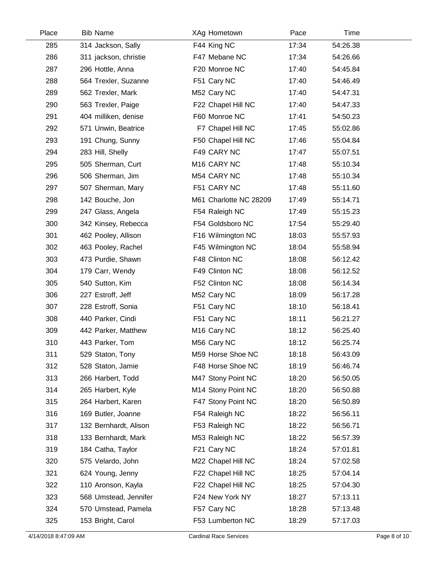| Place | <b>Bib Name</b>       | XAg Hometown            | Pace  | Time     |  |
|-------|-----------------------|-------------------------|-------|----------|--|
| 285   | 314 Jackson, Sally    | F44 King NC             | 17:34 | 54:26.38 |  |
| 286   | 311 jackson, christie | F47 Mebane NC           | 17:34 | 54:26.66 |  |
| 287   | 296 Hottle, Anna      | F20 Monroe NC           | 17:40 | 54:45.84 |  |
| 288   | 564 Trexler, Suzanne  | F51 Cary NC             | 17:40 | 54:46.49 |  |
| 289   | 562 Trexler, Mark     | M52 Cary NC             | 17:40 | 54:47.31 |  |
| 290   | 563 Trexler, Paige    | F22 Chapel Hill NC      | 17:40 | 54:47.33 |  |
| 291   | 404 milliken, denise  | F60 Monroe NC           | 17:41 | 54:50.23 |  |
| 292   | 571 Unwin, Beatrice   | F7 Chapel Hill NC       | 17:45 | 55:02.86 |  |
| 293   | 191 Chung, Sunny      | F50 Chapel Hill NC      | 17:46 | 55:04.84 |  |
| 294   | 283 Hill, Shelly      | F49 CARY NC             | 17:47 | 55:07.51 |  |
| 295   | 505 Sherman, Curt     | M <sub>16</sub> CARY NC | 17:48 | 55:10.34 |  |
| 296   | 506 Sherman, Jim      | M54 CARY NC             | 17:48 | 55:10.34 |  |
| 297   | 507 Sherman, Mary     | F51 CARY NC             | 17:48 | 55:11.60 |  |
| 298   | 142 Bouche, Jon       | M61 Charlotte NC 28209  | 17:49 | 55:14.71 |  |
| 299   | 247 Glass, Angela     | F54 Raleigh NC          | 17:49 | 55:15.23 |  |
| 300   | 342 Kinsey, Rebecca   | F54 Goldsboro NC        | 17:54 | 55:29.40 |  |
| 301   | 462 Pooley, Allison   | F16 Wilmington NC       | 18:03 | 55:57.93 |  |
| 302   | 463 Pooley, Rachel    | F45 Wilmington NC       | 18:04 | 55:58.94 |  |
| 303   | 473 Purdie, Shawn     | F48 Clinton NC          | 18:08 | 56:12.42 |  |
| 304   | 179 Carr, Wendy       | F49 Clinton NC          | 18:08 | 56:12.52 |  |
| 305   | 540 Sutton, Kim       | F52 Clinton NC          | 18:08 | 56:14.34 |  |
| 306   | 227 Estroff, Jeff     | M52 Cary NC             | 18:09 | 56:17.28 |  |
| 307   | 228 Estroff, Sonia    | F51 Cary NC             | 18:10 | 56:18.41 |  |
| 308   | 440 Parker, Cindi     | F51 Cary NC             | 18:11 | 56:21.27 |  |
| 309   | 442 Parker, Matthew   | M <sub>16</sub> Cary NC | 18:12 | 56:25.40 |  |
| 310   | 443 Parker, Tom       | M56 Cary NC             | 18:12 | 56:25.74 |  |
| 311   | 529 Staton, Tony      | M59 Horse Shoe NC       | 18:18 | 56:43.09 |  |
| 312   | 528 Staton, Jamie     | F48 Horse Shoe NC       | 18:19 | 56:46.74 |  |
| 313   | 266 Harbert, Todd     | M47 Stony Point NC      | 18:20 | 56:50.05 |  |
| 314   | 265 Harbert, Kyle     | M14 Stony Point NC      | 18:20 | 56:50.88 |  |
| 315   | 264 Harbert, Karen    | F47 Stony Point NC      | 18:20 | 56:50.89 |  |
| 316   | 169 Butler, Joanne    | F54 Raleigh NC          | 18:22 | 56:56.11 |  |
| 317   | 132 Bernhardt, Alison | F53 Raleigh NC          | 18:22 | 56:56.71 |  |
| 318   | 133 Bernhardt, Mark   | M53 Raleigh NC          | 18:22 | 56:57.39 |  |
| 319   | 184 Catha, Taylor     | F21 Cary NC             | 18:24 | 57:01.81 |  |
| 320   | 575 Velardo, John     | M22 Chapel Hill NC      | 18:24 | 57:02.58 |  |
| 321   | 624 Young, Jenny      | F22 Chapel Hill NC      | 18:25 | 57:04.14 |  |
| 322   | 110 Aronson, Kayla    | F22 Chapel Hill NC      | 18:25 | 57:04.30 |  |
| 323   | 568 Umstead, Jennifer | F24 New York NY         | 18:27 | 57:13.11 |  |
| 324   | 570 Umstead, Pamela   | F57 Cary NC             | 18:28 | 57:13.48 |  |
| 325   | 153 Bright, Carol     | F53 Lumberton NC        | 18:29 | 57:17.03 |  |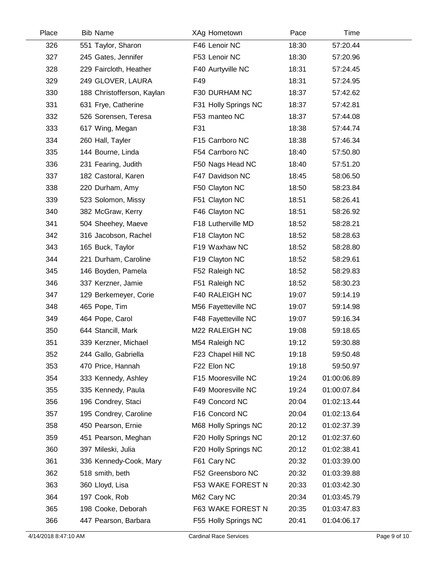| Place | <b>Bib Name</b>            | XAg Hometown         | Pace  | Time        |  |
|-------|----------------------------|----------------------|-------|-------------|--|
| 326   | 551 Taylor, Sharon         | F46 Lenoir NC        | 18:30 | 57:20.44    |  |
| 327   | 245 Gates, Jennifer        | F53 Lenoir NC        | 18:30 | 57:20.96    |  |
| 328   | 229 Faircloth, Heather     | F40 Aurtyville NC    | 18:31 | 57:24.45    |  |
| 329   | 249 GLOVER, LAURA          | F49                  | 18:31 | 57:24.95    |  |
| 330   | 188 Christofferson, Kaylan | F30 DURHAM NC        | 18:37 | 57:42.62    |  |
| 331   | 631 Frye, Catherine        | F31 Holly Springs NC | 18:37 | 57:42.81    |  |
| 332   | 526 Sorensen, Teresa       | F53 manteo NC        | 18:37 | 57:44.08    |  |
| 333   | 617 Wing, Megan            | F31                  | 18:38 | 57:44.74    |  |
| 334   | 260 Hall, Tayler           | F15 Carrboro NC      | 18:38 | 57:46.34    |  |
| 335   | 144 Bourne, Linda          | F54 Carrboro NC      | 18:40 | 57:50.80    |  |
| 336   | 231 Fearing, Judith        | F50 Nags Head NC     | 18:40 | 57:51.20    |  |
| 337   | 182 Castoral, Karen        | F47 Davidson NC      | 18:45 | 58:06.50    |  |
| 338   | 220 Durham, Amy            | F50 Clayton NC       | 18:50 | 58:23.84    |  |
| 339   | 523 Solomon, Missy         | F51 Clayton NC       | 18:51 | 58:26.41    |  |
| 340   | 382 McGraw, Kerry          | F46 Clayton NC       | 18:51 | 58:26.92    |  |
| 341   | 504 Sheehey, Maeve         | F18 Lutherville MD   | 18:52 | 58:28.21    |  |
| 342   | 316 Jacobson, Rachel       | F18 Clayton NC       | 18:52 | 58:28.63    |  |
| 343   | 165 Buck, Taylor           | F19 Waxhaw NC        | 18:52 | 58:28.80    |  |
| 344   | 221 Durham, Caroline       | F19 Clayton NC       | 18:52 | 58:29.61    |  |
| 345   | 146 Boyden, Pamela         | F52 Raleigh NC       | 18:52 | 58:29.83    |  |
| 346   | 337 Kerzner, Jamie         | F51 Raleigh NC       | 18:52 | 58:30.23    |  |
| 347   | 129 Berkemeyer, Corie      | F40 RALEIGH NC       | 19:07 | 59:14.19    |  |
| 348   | 465 Pope, Tim              | M56 Fayetteville NC  | 19:07 | 59:14.98    |  |
| 349   | 464 Pope, Carol            | F48 Fayetteville NC  | 19:07 | 59:16.34    |  |
| 350   | 644 Stancill, Mark         | M22 RALEIGH NC       | 19:08 | 59:18.65    |  |
| 351   | 339 Kerzner, Michael       | M54 Raleigh NC       | 19:12 | 59:30.88    |  |
| 352   | 244 Gallo, Gabriella       | F23 Chapel Hill NC   | 19:18 | 59:50.48    |  |
| 353   | 470 Price, Hannah          | F22 Elon NC          | 19:18 | 59:50.97    |  |
| 354   | 333 Kennedy, Ashley        | F15 Mooresville NC   | 19:24 | 01:00:06.89 |  |
| 355   | 335 Kennedy, Paula         | F49 Mooresville NC   | 19:24 | 01:00:07.84 |  |
| 356   | 196 Condrey, Staci         | F49 Concord NC       | 20:04 | 01:02:13.44 |  |
| 357   | 195 Condrey, Caroline      | F16 Concord NC       | 20:04 | 01:02:13.64 |  |
| 358   | 450 Pearson, Ernie         | M68 Holly Springs NC | 20:12 | 01:02:37.39 |  |
| 359   | 451 Pearson, Meghan        | F20 Holly Springs NC | 20:12 | 01:02:37.60 |  |
| 360   | 397 Mileski, Julia         | F20 Holly Springs NC | 20:12 | 01:02:38.41 |  |
| 361   | 336 Kennedy-Cook, Mary     | F61 Cary NC          | 20:32 | 01:03:39.00 |  |
| 362   | 518 smith, beth            | F52 Greensboro NC    | 20:32 | 01:03:39.88 |  |
| 363   | 360 Lloyd, Lisa            | F53 WAKE FOREST N    | 20:33 | 01:03:42.30 |  |
| 364   | 197 Cook, Rob              | M62 Cary NC          | 20:34 | 01:03:45.79 |  |
| 365   | 198 Cooke, Deborah         | F63 WAKE FOREST N    | 20:35 | 01:03:47.83 |  |
| 366   | 447 Pearson, Barbara       | F55 Holly Springs NC | 20:41 | 01:04:06.17 |  |